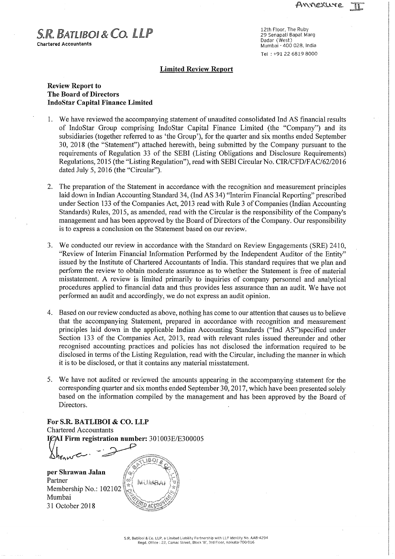$S.R.$   $BATUBO I & CO.$   $LLP$   $29$  Senapati Bapat Marg **Chartered Accountants** 

Dadar (West) Mumbai - 400 028, India Tel : +91 22 6819 8000

## Limited Review Report

# Review Report to The Board of Directors IndoStar Capital Finance Limited

- 1. We have reviewed the accompanying statement of unaudited consolidated Ind AS financial results of IndoStar Group comprising IndoStar Capital Finance Limited (the "Company") and its subsidiaries (together referred to as 'the Group"), for the quarter and six months ended September 30, 2018 (the "Statement") attached herewith, being submitted by the Company pursuant to the requirements of Regulation <sup>33</sup> of the SEBI (Listing Obligations and Disclosure Requirements) Regulations, 2015 (the "Listing Regulation"), read with SEBI Circular No. CIR/CFD/FAC/62/2016 dated July 5, 2016 (the "Circular").
- 2. The preparation of the Statement in accordance with the recognition and measurement principles laid down in Indian Accounting Standard 34, (Ind AS 34) "Interim Financial Reporting" prescribed under Section 133 of the Companies Act, 2013 read with Rule 3 of Companies (Indian Accounting Standards) Rules, 2015, as amended, read with the Circular is the responsibility of the Company's management and has been approved by the Board of Directors of the Company. Our responsibility is to express <sup>a</sup> conclusion on the Statement based on our review.
- 3. We conducted our review in accordance with the Standard on Review Engagements (SRE) <sup>241</sup> 0, "Review of Interim Financial Information Performed by the Independent Auditor of the Entity" issued by the Institute of Chartered Accountants of India. This standard requires that we plan and perform the review to obtain moderate assurance as to whether the Statement is free of material misstatement. A review is limited primarily to inquiries of company personnel and analytical procedures applied to financial data and thus provides less assurance than an audit. We have not performed an audit and accordingly, we do not express an audit opinion.
- 4. Based on our review conducted as above, nothing has come to our attention that causes us to believe that the accompanying Statement, prepared in accordance with recognition and measurementprinciples laid down in the applicable Indian Accounting Standards ("Ind AS")specified under Section <sup>133</sup> of the Companies Act, 2013, read with relevant rules issued thereunder and other recognised accounting practices and policies has not disclosed the information required to be disclosed in terms of the Listing Regulation, read with the Circular, including the manner in which it is to be disclosed, or that it contains any material misstatement.
- 5. We have not audited or reviewed the amounts appearing in the accompanying statement for the corresponding quarter and six months ended September 30, 2017, which have been presented solely based on the information compiled by the management and has been approved by the Board of Directors.

For S.R. BATLIBOI & CO. LLP Chartered Accountants Firm registration number: 301003E/E300005  $\kappa$ . BATLIBOI & CO. 1<br>
red Accountants<br>
Firm registration number

 $\Delta h_{ra}$ per Shrawan Jalan Partner : Membership No.: 102102 Mumbai '

31 October 2018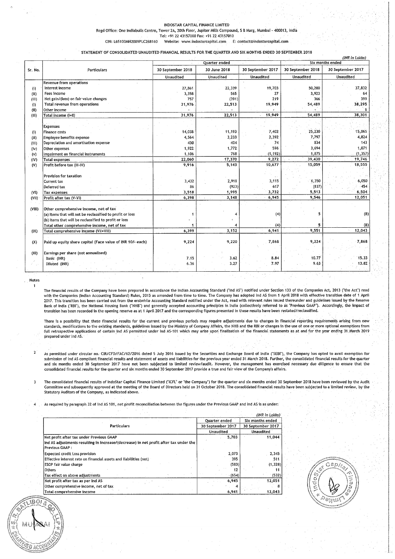### INDOSTAR CAPITAL FINANCE LIMITED

Regd Office: One Indiabulls Centre, Tower 2A, 20th Floor, Jupiter Mills Compound, <sup>S</sup> <sup>8</sup> Marg, Mumbai - 400013, India Tel: +91 22 43157000 Fax: +91 22 43157010

CIN: L65100MH2009PLC268160 Website: www.indostarcapital.com E: contact@indostarcapital.com

STATEMENT OF CONSOLIDATED UNAUDITED FINANCIAL RESULTS FORTHE QUARTER AND SIX MONTHS ENDED 30 SEPTEMBER 2018

|         |                                                            |                   |                  |                   |                   | (INR in Lakhs)<br>Six months ended |
|---------|------------------------------------------------------------|-------------------|------------------|-------------------|-------------------|------------------------------------|
|         |                                                            |                   | Quarter ended    |                   |                   |                                    |
| Sr. No. | Particulars                                                | 30 September 2018 | 30 June 2018     | 30 September 2017 | 30 September 2018 | 30 September 2017                  |
|         |                                                            | Unaudited         | <b>Unaudited</b> | <b>Unaudited</b>  | Unaudited         | Unaudited                          |
|         | <b>Revenue from operations</b>                             |                   |                  |                   |                   |                                    |
| (i)     | Interest income                                            | 27,861            | 22,339           | 19,703            | 50,200            | 37,832                             |
| (i)     | Fees income                                                | 3,358             | 565              | 27                | 3,923             | 64                                 |
| (iii)   | Net gain/(loss) on fair value changes                      | 757               | (391)            | 219               | 366               | 399                                |
| (1)     | Total revenue from operations                              | 31,976            | 22,513           | 19,949            | 54,489            | 38,295                             |
| (11)    | Other income                                               |                   |                  |                   |                   | 6                                  |
| (III)   | Total income (I+II)                                        | 31,976            | 22,513           | 19,949            | 54,489            | 38,301                             |
|         |                                                            |                   |                  |                   |                   |                                    |
|         | Expenses                                                   |                   |                  |                   |                   |                                    |
| (i)     | Finance costs                                              | 14,038            | 11,193           | 7,402             | 25,230            | 15,065                             |
| (ii)    | Employee benefits expense                                  | 4,564             | 3,233            | 2,392             | 7,797             | 4,824                              |
| (iii)   | Depreciation and amortisation expense                      | 430               | 404              | 74                | 834               | 143                                |
| (iv)    | Other expenses                                             | 1.922             | 1,772            | 596               | 3,694             | 1,071                              |
| (v)     | Impairment on financial instruments                        | 1,106             | 768              | (1, 192)          | 1,875             | (1, 357)                           |
| (IV)    | <b>Total expenses</b>                                      | 22,060            | 17,370           | 9.272             | 39,430            | 19,746                             |
| (V)     | Profit before tax (III-IV)                                 | 9,916             | 5,143            | 10,677            | 15,059            | 18,555                             |
|         |                                                            |                   |                  |                   |                   |                                    |
|         | Provision for taxation                                     |                   |                  |                   |                   |                                    |
|         | Current tax                                                | 3,432             | 2,918            | 3,115             | 6,350             | 6,050                              |
|         | Deferred tax                                               | 86                | (923)            | 617               | (837)             | $-454$                             |
| (VI)    | Tax expenses                                               | 3,518             | 1,995            | 3,732             | 5,513             | 6,504                              |
| (VII)   | Profit after tax (V-VI)                                    | 6,398             | 3,148            | 6,945             | 9.546             | 12,051                             |
|         |                                                            |                   |                  |                   |                   |                                    |
| (VIII)  | Other comprehensive income, net of tax                     |                   |                  |                   |                   |                                    |
|         | (a) Items that will not be reclassified to profit or loss  |                   |                  | (4)               | 5                 | (8)                                |
|         | (b) Items that will be reclassified to profit or loss      |                   |                  |                   |                   |                                    |
|         | Total other comprehensive income, net of tax.              |                   |                  | (4)               |                   | (8)                                |
| (IX)    | Total comprehensive Income (Vil+VIII)                      | 6,399             | 3,152            | 6.941             | 9,551             | 12,043                             |
|         |                                                            |                   |                  |                   |                   |                                    |
| (X)     | Paid up equity share capital (Face value of INR 10/- each) | 9,224             | 9,220            | 7,868             | 9,224             | 7,868                              |
|         |                                                            |                   |                  |                   |                   |                                    |
| (XI)    | Earnings per share (not annualised)                        |                   |                  |                   |                   |                                    |
|         | Basic (INR)                                                | 7.15              | 3.62             | 8.84              | 10.77             | 15.33                              |
|         | Diluted (INR)                                              | 6.36              | 3.27             | 7.97              | 9.63              | 13.82                              |
|         |                                                            |                   |                  |                   |                   |                                    |

#### Notes 1

D acci

The financial results of the Company have been prepared in accordance the Indian Accounting Standard ("Ind AS") notified under Section <sup>133</sup> of the Companies Act, <sup>2013</sup> ("the Act") read with the Companies (Indian Accounting Standard) Rules, 2015 as amended from time to time to the. Company has adopted ind AS from 1 April 2018 with effective transition date of 1 April<br>2017. This transition has been carried Bank of India ("RBI"), the National Housing Bank ("NHB") and generally accepted accounting principles in India (collectively referred to as "Previous GAAP"). Accordingly, the impact of transition has been recorded'In the opening reserve as at1 April <sup>2017</sup> and the corresponding figures presented'In these results have been restated/reclassified.

There is a possibility that these financial results for the current and previous periods may require adjustments due to changes in financial reporting requirements arising from new standards, modifications to the existing standards, guidelines issued by the Ministryof Company Affairs, the NHB and the RBI or changes in the use of one or more optional exemptions from full retrospective applications of certain Ind AS permitted under Ind AS- <sup>101</sup> which may arise upon finalisation of the financial statements as at and for the year ending <sup>31</sup> March <sup>2019</sup> prepared under Ind AS.

2 As permitted under circular no. CIR/CFD/FAC/62/2016 dated 5 July 2016 issued by the Securities and Exchange Board of India ("SEBI"), the Company has opted to avail exemption for submission of Ind AS compliant financial results and statement of assets and liabilities for the previous year ended 31 March 2018. Further, the consolidated financial results for the quarter<br>and six months ended 30 Septem consolidated financial results for the quarter and six months ended <sup>30</sup> September <sup>2017</sup> provide <sup>a</sup> true and fairview of the Companys affairs.

<sup>3</sup> The consolidated financial results of IndoStar Capital Finance Limited ("ICFL" or "the Company") for the quarter and six months ended <sup>30</sup> September <sup>2018</sup> have been reviewed by the Audit , Committee and subsequently approved at the meeting of the Board of Directors held on <sup>31</sup> October 2018. The consolidated financial results have been subjected to <sup>a</sup> limited review, by the Statutory Auditors of the Company, as indicated above ,

As required by paragraph 32 of Ind AS 101, net profit reconciliation between the figures under the Previous GAAP and Ind AS is as under:

|                                                                                                         |                   | (INR in Lakhs)                                     |  |
|---------------------------------------------------------------------------------------------------------|-------------------|----------------------------------------------------|--|
|                                                                                                         | Quarter ended     | Six months ended<br>30 September 2017<br>Unaudited |  |
| <b>Particulars</b>                                                                                      | 30 September 2017 |                                                    |  |
|                                                                                                         | <b>Unaudited</b>  |                                                    |  |
| Net profit after tax under Previous GAAP                                                                | 5,703             | 11.044                                             |  |
| Ind AS adjustments resulting in increase/(decrease) in net profit after tax under the<br>Previous GAAP: |                   |                                                    |  |
| <b>Expected credit Loss provision</b>                                                                   | 2,073             | 2.345                                              |  |
| Effective interest rate on financial assets and liabilities (net)                                       | 395               | 511                                                |  |
| ESOP fair value charge                                                                                  | (583)             | (1,328)                                            |  |
| Others                                                                                                  | 12                |                                                    |  |
| Tax effect on above adjustments                                                                         | (654)             | (532)                                              |  |
| Net profit after tax as per Ind AS                                                                      | 6,945             | 12,051                                             |  |
| Other comprehensive income, net of tax                                                                  |                   |                                                    |  |
| Total comprehensive income                                                                              | 6.941             | 12,043                                             |  |



. .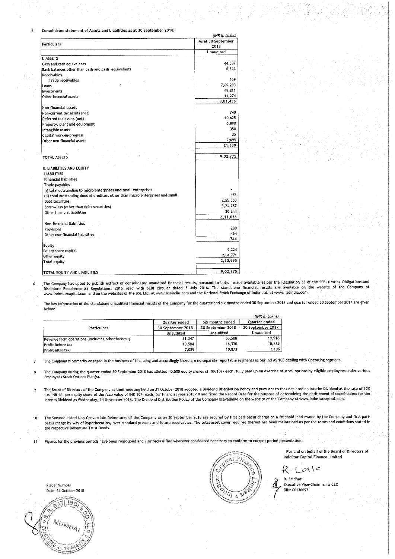Consolidated statement of Assets and Liabilities as at 30 September 2018: -5.

| (INR in Lakhs)                                                                  |                    |  |  |
|---------------------------------------------------------------------------------|--------------------|--|--|
| <b>Particulars</b>                                                              | As at 30 September |  |  |
|                                                                                 | 2018               |  |  |
|                                                                                 | <b>Unaudited</b>   |  |  |
| I. ASSETS                                                                       |                    |  |  |
| Cash and cash equivalents                                                       | 44,587             |  |  |
| Bank balances other than cash and cash equivalents                              | 6,322              |  |  |
| Receivables                                                                     |                    |  |  |
| <b>Trade receivables</b>                                                        | 159                |  |  |
| Loans                                                                           | 7,69,283           |  |  |
| Investments                                                                     | 49,811             |  |  |
| Other financial assets                                                          | 11,274             |  |  |
|                                                                                 | 8,81,436           |  |  |
| Non-financial assets                                                            |                    |  |  |
| Non-current tax assets (net)                                                    | 740                |  |  |
| Deferred tax assets (net)                                                       | 10.625             |  |  |
| Property, plant and equipment                                                   | 6,890              |  |  |
| Intangible assets                                                               | 350                |  |  |
| Capital work-in-progress                                                        | 35                 |  |  |
| Other non-financial assets                                                      | 2,699              |  |  |
|                                                                                 | 21,339             |  |  |
|                                                                                 |                    |  |  |
| <b>TOTAL ASSETS</b>                                                             | 9,02,775           |  |  |
|                                                                                 |                    |  |  |
| II. LIABILITIES AND EQUITY                                                      |                    |  |  |
| <b>LIABILITIES</b>                                                              |                    |  |  |
| <b>Financial liabilities</b>                                                    |                    |  |  |
| Trade payables                                                                  |                    |  |  |
| (i) total outstanding to micro enterprises and small enterprises                |                    |  |  |
| (ii) total outstanding dues of creditors other than micro enterprises and small | 475                |  |  |
| Debt securities                                                                 | 2,55,550           |  |  |
| Borrowings (other than debt securities)                                         | 3,24,767           |  |  |
| Other financial liabilities                                                     | 30,244             |  |  |
|                                                                                 | 6,11,036           |  |  |
| Non-financial liabilities                                                       |                    |  |  |
| Provisions                                                                      | 280                |  |  |
| Other non-financial liabilities                                                 | 464                |  |  |
|                                                                                 | 744                |  |  |
|                                                                                 |                    |  |  |
| Equity<br>Equity share capital                                                  | 9,224              |  |  |
|                                                                                 | 2,81,771           |  |  |
| Other equity                                                                    | 2.90,995           |  |  |
| <b>Total equity</b>                                                             |                    |  |  |
|                                                                                 | 9,02,775           |  |  |
| TOTAL EQUITY AND LIABILITIES                                                    |                    |  |  |

,The Company has opted to publish extract of consolidated unaudited financial results, pursuant to option made available as per the Regulation <sup>33</sup> ofthe SEBI (Listing Obligations and Disclosure Requirements) Regulations, <sup>2015</sup> read with SEBI circular dated <sup>5</sup> July 2016. The standalone financial results are available onthe Website of the Company at www.indostarcapital com and on the websites of the BSE Ltd at www bseindia corn and the National Stock Exchange of India Ltd. at www. nsein'dia. com.

The key information of the standalone unaudited financial results of the Company for the quarter and six months ended <sup>30</sup> September <sup>2018</sup> and quarter ended <sup>30</sup> September <sup>2017</sup> are given below.

|                                                  |                   |                   | (INR in Lakhs)    |
|--------------------------------------------------|-------------------|-------------------|-------------------|
|                                                  | Ouarter ended     | Six months ended  | Ouarter ended     |
| <b>Particulars</b>                               | 30 September 2018 | 30 September 2018 | 30 September 2017 |
|                                                  | Unaudited         | <b>Unaudited</b>  | Unaudited         |
| Revenue from operations (including other income) | 31,347            | 53.508            | 19.916            |
| <b>Profit before tax</b>                         | 10.584            | 16,330            | 10,839            |
| Profit after tax                                 | 7,089             | 10,873            | 7.106             |

The' Company is primarily engaged in the business of financing and accordingly there are no separate reportable segments as per Ind AS <sup>108</sup> dealing with Operating segment.

 $\bf{8}$ The Company during the quarter ended 30 September 2018 has allotted 40,500 equity shares of INR 10/- each, fully paid up on exercise of stock options by eligible employees under various<br>Employees Stock Options Plan(s).

The Board of Directors of the Company at their meeting held on <sup>31</sup> October <sup>2018</sup> adopted <sup>a</sup> Dividend Distribution Policy and pursuant to that declared an Interim Dividend at the rate of 10%  $\overline{9}$ i.e. INR 1/- per equity share of the face value of INR 10/- each, for financial year 2018-19 and fixed the Record Date for the purpose of determining the entitlement of shareholders for the Interim Dividend as Wednesday, <sup>14</sup> November 2018. The Dividend Distribution Policy of the Company is available on the website of the Company at www. indostarcapital com.

10 The Secured Listed Non-Convertible Debentures of the Company as on 30 September 2018 are secured by first pari- passu charge on a freehold land owned by the Company and first paripassu charge by way of hypothecation, over standard present and future receivables. The total asset cover required thereof has been maintained as per the terms and conditions stated in the respective Debenture Trust Deeds.

Figures for the previous periods have been regrouped and / or reclassified wherever considered necessary to conform to current period presentation.



For and on behalf of the Board of Directors of IndoStar Capital Finance Limited

R. Lialle

R. Sridhar Executive Vice-Chairman & CEO DIN: 00136697

Place: Mumbai Date: <sup>31</sup> October 2018

6

 $\overline{7}$ 

 $11$